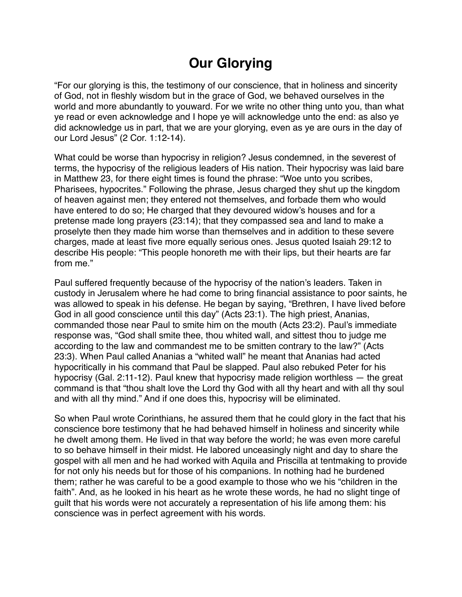## **Our Glorying**

"For our glorying is this, the testimony of our conscience, that in holiness and sincerity of God, not in fleshly wisdom but in the grace of God, we behaved ourselves in the world and more abundantly to youward. For we write no other thing unto you, than what ye read or even acknowledge and I hope ye will acknowledge unto the end: as also ye did acknowledge us in part, that we are your glorying, even as ye are ours in the day of our Lord Jesus" (2 Cor. 1:12-14).

What could be worse than hypocrisy in religion? Jesus condemned, in the severest of terms, the hypocrisy of the religious leaders of His nation. Their hypocrisy was laid bare in Matthew 23, for there eight times is found the phrase: "Woe unto you scribes, Pharisees, hypocrites." Following the phrase, Jesus charged they shut up the kingdom of heaven against men; they entered not themselves, and forbade them who would have entered to do so; He charged that they devoured widow's houses and for a pretense made long prayers (23:14); that they compassed sea and land to make a proselyte then they made him worse than themselves and in addition to these severe charges, made at least five more equally serious ones. Jesus quoted Isaiah 29:12 to describe His people: "This people honoreth me with their lips, but their hearts are far from me."

Paul suffered frequently because of the hypocrisy of the nation's leaders. Taken in custody in Jerusalem where he had come to bring financial assistance to poor saints, he was allowed to speak in his defense. He began by saying, "Brethren, I have lived before God in all good conscience until this day" (Acts 23:1). The high priest, Ananias, commanded those near Paul to smite him on the mouth (Acts 23:2). Paul's immediate response was, "God shall smite thee, thou whited wall, and sittest thou to judge me according to the law and commandest me to be smitten contrary to the law?" (Acts 23:3). When Paul called Ananias a "whited wall" he meant that Ananias had acted hypocritically in his command that Paul be slapped. Paul also rebuked Peter for his hypocrisy (Gal. 2:11-12). Paul knew that hypocrisy made religion worthless — the great command is that "thou shalt love the Lord thy God with all thy heart and with all thy soul and with all thy mind." And if one does this, hypocrisy will be eliminated.

So when Paul wrote Corinthians, he assured them that he could glory in the fact that his conscience bore testimony that he had behaved himself in holiness and sincerity while he dwelt among them. He lived in that way before the world; he was even more careful to so behave himself in their midst. He labored unceasingly night and day to share the gospel with all men and he had worked with Aquila and Priscilla at tentmaking to provide for not only his needs but for those of his companions. In nothing had he burdened them; rather he was careful to be a good example to those who we his "children in the faith". And, as he looked in his heart as he wrote these words, he had no slight tinge of guilt that his words were not accurately a representation of his life among them: his conscience was in perfect agreement with his words.